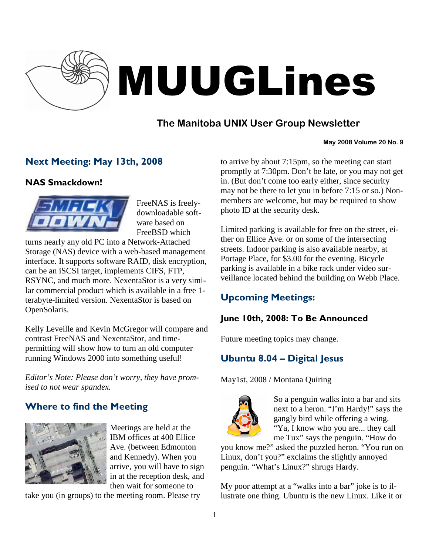

# MUUGLines

# **The Manitoba UNIX User Group Newsletter**

#### **May 2008 Volume 20 No. 9**

# Next Meeting: May 13th, 2008

## NAS Smackdown!



FreeNAS is freelydownloadable software based on FreeBSD which

turns nearly any old PC into a Network-Attached Storage (NAS) device with a web-based management interface. It supports software RAID, disk encryption, can be an iSCSI target, implements CIFS, FTP, RSYNC, and much more. NexentaStor is a very similar commercial product which is available in a free 1 terabyte-limited version. NexentaStor is based on OpenSolaris.

Kelly Leveille and Kevin McGregor will compare and contrast FreeNAS and NexentaStor, and timepermitting will show how to turn an old computer running Windows 2000 into something useful!

*Editor's Note: Please don't worry, they have promised to not wear spandex.* 

# Where to find the Meeting



Meetings are held at the IBM offices at 400 Ellice Ave. (between Edmonton and Kennedy). When you arrive, you will have to sign in at the reception desk, and then wait for someone to

take you (in groups) to the meeting room. Please try

to arrive by about 7:15pm, so the meeting can start promptly at 7:30pm. Don't be late, or you may not get in. (But don't come too early either, since security may not be there to let you in before 7:15 or so.) Nonmembers are welcome, but may be required to show photo ID at the security desk.

Limited parking is available for free on the street, either on Ellice Ave. or on some of the intersecting streets. Indoor parking is also available nearby, at Portage Place, for \$3.00 for the evening. Bicycle parking is available in a bike rack under video surveillance located behind the building on Webb Place.

# Upcoming Meetings:

## June 10th, 2008: To Be Announced

Future meeting topics may change.

# Ubuntu 8.04 – Digital Jesus

May1st, 2008 / Montana Quiring



So a penguin walks into a bar and sits next to a heron. "I'm Hardy!" says the gangly bird while offering a wing. "Ya, I know who you are... they call me Tux" says the penguin. "How do

you know me?" asked the puzzled heron. "You run on Linux, don't you?" exclaims the slightly annoyed penguin. "What's Linux?" shrugs Hardy.

My poor attempt at a "walks into a bar" joke is to illustrate one thing. Ubuntu is the new Linux. Like it or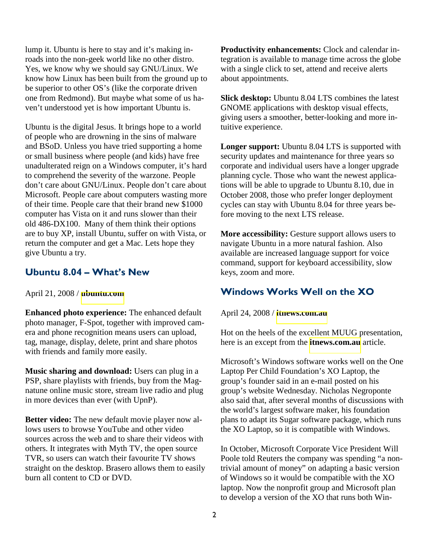lump it. Ubuntu is here to stay and it's making inroads into the non-geek world like no other distro. Yes, we know why we should say GNU/Linux. We know how Linux has been built from the ground up to be superior to other OS's (like the corporate driven one from Redmond). But maybe what some of us haven't understood yet is how important Ubuntu is.

Ubuntu is the digital Jesus. It brings hope to a world of people who are drowning in the sins of malware and BSoD. Unless you have tried supporting a home or small business where people (and kids) have free unadulterated reign on a Windows computer, it's hard to comprehend the severity of the warzone. People don't care about GNU/Linux. People don't care about Microsoft. People care about computers wasting more of their time. People care that their brand new \$1000 computer has Vista on it and runs slower than their old 486-DX100. Many of them think their options are to buy XP, install Ubuntu, suffer on with Vista, or return the computer and get a Mac. Lets hope they give Ubuntu a try.

#### Ubuntu 8.04 – What's New

April 21, 2008 / **[ubuntu.com](http://ubuntu.com/)**

**Enhanced photo experience:** The enhanced default photo manager, F-Spot, together with improved camera and phone recognition means users can upload, tag, manage, display, delete, print and share photos with friends and family more easily.

**Music sharing and download:** Users can plug in a PSP, share playlists with friends, buy from the Magnatune online music store, stream live radio and plug in more devices than ever (with UpnP).

**Better video:** The new default movie player now allows users to browse YouTube and other video sources across the web and to share their videos with others. It integrates with Myth TV, the open source TVR, so users can watch their favourite TV shows straight on the desktop. Brasero allows them to easily burn all content to CD or DVD.

**Productivity enhancements:** Clock and calendar integration is available to manage time across the globe with a single click to set, attend and receive alerts about appointments.

**Slick desktop:** Ubuntu 8.04 LTS combines the latest GNOME applications with desktop visual effects, giving users a smoother, better-looking and more intuitive experience.

**Longer support:** Ubuntu 8.04 LTS is supported with security updates and maintenance for three years so corporate and individual users have a longer upgrade planning cycle. Those who want the newest applications will be able to upgrade to Ubuntu 8.10, due in October 2008, those who prefer longer deployment cycles can stay with Ubuntu 8.04 for three years before moving to the next LTS release.

**More accessibility:** Gesture support allows users to navigate Ubuntu in a more natural fashion. Also available are increased language support for voice command, support for keyboard accessibility, slow keys, zoom and more.

## Windows Works Well on the XO

April 24, 2008 / **[itnews.com.au](http://itnews.com.au/)**

Hot on the heels of the excellent MUUG presentation, here is an except from the **[itnews.com.au](http://itnews.com.au/)** article.

Microsoft's Windows software works well on the One Laptop Per Child Foundation's XO Laptop, the group's founder said in an e-mail posted on his group's website Wednesday. Nicholas Negroponte also said that, after several months of discussions with the world's largest software maker, his foundation plans to adapt its Sugar software package, which runs the XO Laptop, so it is compatible with Windows.

In October, Microsoft Corporate Vice President Will Poole told Reuters the company was spending "a nontrivial amount of money" on adapting a basic version of Windows so it would be compatible with the XO laptop. Now the nonprofit group and Microsoft plan to develop a version of the XO that runs both Win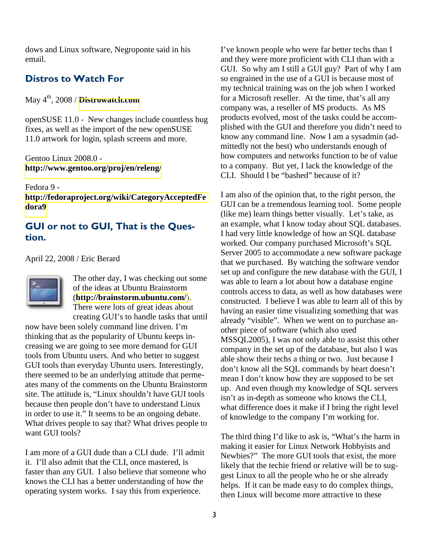dows and Linux software, Negroponte said in his email.

### Distros to Watch For

May 4th, 2008 / **[Distrowatch.com](http://distrowatch.com/)**

openSUSE 11.0 - New changes include countless bug fixes, as well as the import of the new openSUSE 11.0 artwork for login, splash screens and more.

Gentoo Linux 2008.0 **<http://www.gentoo.org/proj/en/releng/>**

Fedora 9 -

**[http://fedoraproject.org/wiki/CategoryAcceptedFe](http://fedoraproject.org/wiki/CategoryAcceptedFedora9) [dora9](http://fedoraproject.org/wiki/CategoryAcceptedFedora9)**

## GUI or not to GUI, That is the Question.

April 22, 2008 / Eric Berard



The other day, I was checking out some of the ideas at Ubuntu Brainstorm (**<http://brainstorm.ubuntu.com/>**). There were lots of great ideas about creating GUI's to handle tasks that until

now have been solely command line driven. I'm thinking that as the popularity of Ubuntu keeps increasing we are going to see more demand for GUI tools from Ubuntu users. And who better to suggest GUI tools than everyday Ubuntu users. Interestingly, there seemed to be an underlying attitude that permeates many of the comments on the Ubuntu Brainstorm site. The attitude is, "Linux shouldn't have GUI tools because then people don't have to understand Linux in order to use it." It seems to be an ongoing debate. What drives people to say that? What drives people to want GUI tools?

I am more of a GUI dude than a CLI dude. I'll admit it. I'll also admit that the CLI, once mastered, is faster than any GUI. I also believe that someone who knows the CLI has a better understanding of how the operating system works. I say this from experience.

I've known people who were far better techs than I and they were more proficient with CLI than with a GUI. So why am I still a GUI guy? Part of why I am so engrained in the use of a GUI is because most of my technical training was on the job when I worked for a Microsoft reseller. At the time, that's all any company was, a reseller of MS products. As MS products evolved, most of the tasks could be accomplished with the GUI and therefore you didn't need to know any command line. Now I am a sysadmin (admittedly not the best) who understands enough of how computers and networks function to be of value to a company. But yet, I lack the knowledge of the CLI. Should I be "bashed" because of it?

I am also of the opinion that, to the right person, the GUI can be a tremendous learning tool. Some people (like me) learn things better visually. Let's take, as an example, what I know today about SQL databases. I had very little knowledge of how an SQL database worked. Our company purchased Microsoft's SQL Server 2005 to accommodate a new software package that we purchased. By watching the software vendor set up and configure the new database with the GUI, I was able to learn a lot about how a database engine controls access to data, as well as how databases were constructed. I believe I was able to learn all of this by having an easier time visualizing something that was already "visible". When we went on to purchase another piece of software (which also used MSSQL2005), I was not only able to assist this other company in the set up of the database, but also I was able show their techs a thing or two. Just because I don't know all the SQL commands by heart doesn't mean I don't know how they are supposed to be set up. And even though my knowledge of SQL servers isn't as in-depth as someone who knows the CLI, what difference does it make if I bring the right level of knowledge to the company I'm working for.

The third thing I'd like to ask is, "What's the harm in making it easier for Linux Network Hobbyists and Newbies?" The more GUI tools that exist, the more likely that the techie friend or relative will be to suggest Linux to all the people who he or she already helps. If it can be made easy to do complex things, then Linux will become more attractive to these